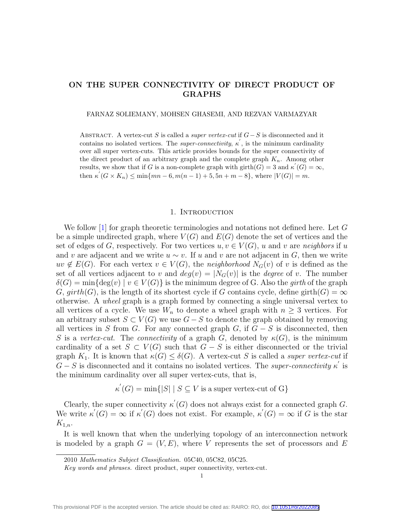## ON THE SUPER CONNECTIVITY OF DIRECT PRODUCT OF GRAPHS

FARNAZ SOLIEMANY, MOHSEN GHASEMI, AND REZVAN VARMAZYAR

ABSTRACT. A vertex-cut S is called a *super vertex-cut* if  $G-S$  is disconnected and it contains no isolated vertices. The *super-connectivity*,  $\kappa'$ , is the minimum cardinality over all super vertex-cuts. This article provides bounds for the super connectivity of the direct product of an arbitrary graph and the complete graph  $K_n$ . Among other results, we show that if G is a non-complete graph with  $\text{girth}(G) = 3$  and  $\kappa'(G) = \infty$ , then  $\kappa'(G \times K_n) \le \min\{mn - 6, m(n - 1) + 5, 5n + m - 8\}$ , where  $|V(G)| = m$ .

## 1. INTRODUCTION

We follow [\[1\]](#page-7-0) for graph theoretic terminologies and notations not defined here. Let G be a simple undirected graph, where  $V(G)$  and  $E(G)$  denote the set of vertices and the set of edges of G, respectively. For two vertices  $u, v \in V(G)$ , u and v are neighbors if u and v are adjacent and we write  $u \sim v$ . If u and v are not adjacent in G, then we write  $uv \notin E(G)$ . For each vertex  $v \in V(G)$ , the neighborhood  $N_G(v)$  of v is defined as the set of all vertices adjacent to v and  $deg(v) = |N_G(v)|$  is the *degree* of v. The number  $\delta(G) = \min\{\deg(v) \mid v \in V(G)\}\$ is the minimum degree of G. Also the girth of the graph G,  $girth(G)$ , is the length of its shortest cycle if G contains cycle, define girth $(G) = \infty$ otherwise. A wheel graph is a graph formed by connecting a single universal vertex to all vertices of a cycle. We use  $W_n$  to denote a wheel graph with  $n \geq 3$  vertices. For an arbitrary subset  $S \subset V(G)$  we use  $G - S$  to denote the graph obtained by removing all vertices in S from G. For any connected graph G, if  $G - S$  is disconnected, then S is a vertex-cut. The connectivity of a graph G, denoted by  $\kappa(G)$ , is the minimum cardinality of a set  $S \subset V(G)$  such that  $G - S$  is either disconnected or the trivial graph  $K_1$ . It is known that  $\kappa(G) \leq \delta(G)$ . A vertex-cut S is called a *super vertex-cut* if  $G-S$  is disconnected and it contains no isolated vertices. The super-connectivity  $\kappa'$  is the minimum cardinality over all super vertex-cuts, that is,

 $\kappa'(G) = \min\{|S| \mid S \subseteq V \text{ is a super vertex-cut of } G\}$ 

Clearly, the super connectivity  $\kappa'(G)$  does not always exist for a connected graph G. We write  $\kappa'(G) = \infty$  if  $\kappa'(G)$  does not exist. For example,  $\kappa'(G) = \infty$  if G is the star  $K_{1,n}$ .

It is well known that when the underlying topology of an interconnection network is modeled by a graph  $G = (V, E)$ , where V represents the set of processors and E

<sup>2010</sup> Mathematics Subject Classification. 05C40, 05C82, 05C25.

Key words and phrases. direct product, super connectivity, vertex-cut.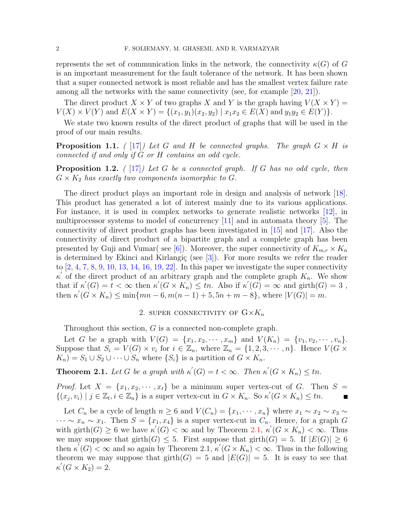represents the set of communication links in the network, the connectivity  $\kappa(G)$  of G is an important measurement for the fault tolerance of the network. It has been shown that a super connected network is most reliable and has the smallest vertex failure rate among all the networks with the same connectivity (see, for example [\[20,](#page-7-1) [21\]](#page-7-2)).

The direct product  $X \times Y$  of two graphs X and Y is the graph having  $V(X \times Y) =$  $V(X) \times V(Y)$  and  $E(X \times Y) = \{(x_1, y_1)(x_2, y_2) \mid x_1x_2 \in E(X) \text{ and } y_1y_2 \in E(Y)\}.$ 

We state two known results of the direct product of graphs that will be used in the proof of our main results.

**Proposition 1.1.** ( [\[17\]](#page-7-3)) Let G and H be connected graphs. The graph  $G \times H$  is connected if and only if G or H contains an odd cycle.

<span id="page-1-1"></span>**Proposition 1.2.** (  $\boxed{17}$ ) Let G be a connected graph. If G has no odd cycle, then  $G \times K_2$  has exactly two components isomorphic to G.

The direct product plays an important role in design and analysis of network [\[18\]](#page-7-4). This product has generated a lot of interest mainly due to its various applications. For instance, it is used in complex networks to generate realistic networks [\[12\]](#page-7-5), in multiprocessor systems to model of concurrency [\[11\]](#page-7-6) and in automata theory [\[5\]](#page-7-7). The connectivity of direct product graphs has been investigated in [\[15\]](#page-7-8) and [\[17\]](#page-7-3). Also the connectivity of direct product of a bipartite graph and a complete graph has been presented by Guji and Vumar( see [\[6\]](#page-7-9)). Moreover, the super connectivity of  $K_{m,r} \times K_n$ is determined by Ekinci and Kirlangiç (see  $[3]$ ). For more results we refer the reader to  $[2, 4, 7, 8, 9, 10, 13, 14, 16, 19, 22]$  $[2, 4, 7, 8, 9, 10, 13, 14, 16, 19, 22]$  $[2, 4, 7, 8, 9, 10, 13, 14, 16, 19, 22]$  $[2, 4, 7, 8, 9, 10, 13, 14, 16, 19, 22]$  $[2, 4, 7, 8, 9, 10, 13, 14, 16, 19, 22]$  $[2, 4, 7, 8, 9, 10, 13, 14, 16, 19, 22]$  $[2, 4, 7, 8, 9, 10, 13, 14, 16, 19, 22]$  $[2, 4, 7, 8, 9, 10, 13, 14, 16, 19, 22]$  $[2, 4, 7, 8, 9, 10, 13, 14, 16, 19, 22]$  $[2, 4, 7, 8, 9, 10, 13, 14, 16, 19, 22]$  $[2, 4, 7, 8, 9, 10, 13, 14, 16, 19, 22]$  $[2, 4, 7, 8, 9, 10, 13, 14, 16, 19, 22]$  $[2, 4, 7, 8, 9, 10, 13, 14, 16, 19, 22]$  $[2, 4, 7, 8, 9, 10, 13, 14, 16, 19, 22]$  $[2, 4, 7, 8, 9, 10, 13, 14, 16, 19, 22]$  $[2, 4, 7, 8, 9, 10, 13, 14, 16, 19, 22]$  $[2, 4, 7, 8, 9, 10, 13, 14, 16, 19, 22]$  $[2, 4, 7, 8, 9, 10, 13, 14, 16, 19, 22]$  $[2, 4, 7, 8, 9, 10, 13, 14, 16, 19, 22]$  $[2, 4, 7, 8, 9, 10, 13, 14, 16, 19, 22]$  $[2, 4, 7, 8, 9, 10, 13, 14, 16, 19, 22]$ . In this paper we investigate the super connectivity  $\kappa'$  of the direct product of an arbitrary graph and the complete graph  $K_n$ . We show that if  $\kappa'(G) = t < \infty$  then  $\kappa'(G \times K_n) \leq tn$ . Also if  $\kappa'(G) = \infty$  and girth $(G) = 3$ , then  $\kappa'(G \times K_n) \le \min\{mn - 6, m(n - 1) + 5, 5n + m - 8\}$ , where  $|V(G)| = m$ .

## 2. SUPER CONNECTIVITY OF  $G\times K_n$

Throughout this section, G is a connected non-complete graph.

Let G be a graph with  $V(G) = \{x_1, x_2, \dots, x_m\}$  and  $V(K_n) = \{v_1, v_2, \dots, v_n\}.$ Suppose that  $S_i = V(G) \times v_i$  for  $i \in \mathbb{Z}_n$ , where  $\mathbb{Z}_n = \{1, 2, 3, \cdots, n\}$ . Hence  $V(G \times$  $K_n$ ) =  $S_1 \cup S_2 \cup \cdots \cup S_n$  where  $\{S_i\}$  is a partition of  $G \times K_n$ .

<span id="page-1-0"></span>**Theorem 2.1.** Let G be a graph with  $\kappa'(G) = t < \infty$ . Then  $\kappa'(G \times K_n) \leq tn$ .

*Proof.* Let  $X = \{x_1, x_2, \dots, x_t\}$  be a minimum super vertex-cut of G. Then  $S =$  $\{(x_j, v_i) \mid j \in \mathbb{Z}_t, i \in \mathbb{Z}_n\}$  is a super vertex-cut in  $G \times K_n$ . So  $\kappa'(G \times K_n) \leq tn$ .

Let  $C_n$  be a cycle of length  $n \geq 6$  and  $V(C_n) = \{x_1, \dots, x_n\}$  where  $x_1 \sim x_2 \sim x_3 \sim$  $\cdots \sim x_n \sim x_1$ . Then  $S = \{x_1, x_4\}$  is a super vertex-cut in  $C_n$ . Hence, for a graph G with girth $(G) \geq 6$  we have  $\kappa'(G) < \infty$  and by Theorem [2.1,](#page-1-0)  $\kappa'(G \times K_n) < \infty$ . Thus we may suppose that girth $(G) \leq 5$ . First suppose that girth $(G) = 5$ . If  $|E(G)| \geq 6$ then  $\kappa'(G) < \infty$  and so again by Theorem 2.1,  $\kappa'(G \times K_n) < \infty$ . Thus in the following theorem we may suppose that  $girth(G) = 5$  and  $|E(G)| = 5$ . It is easy to see that  $\kappa'(G \times K_2) = 2.$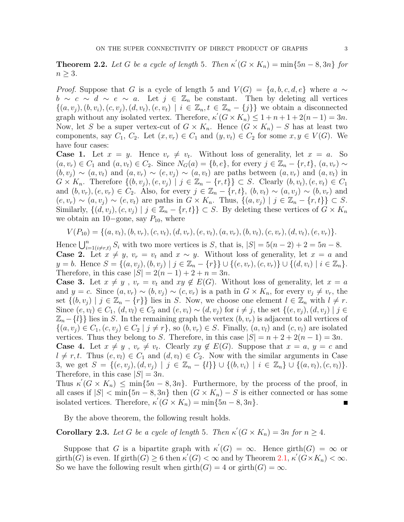**Theorem 2.2.** Let G be a cycle of length 5. Then  $\kappa'(G \times K_n) = \min\{5n - 8, 3n\}$  for  $n \geq 3$ .

*Proof.* Suppose that G is a cycle of length 5 and  $V(G) = \{a, b, c, d, e\}$  where  $a \sim$  $b \sim c \sim d \sim e \sim a$ . Let  $j \in \mathbb{Z}_n$  be constant. Then by deleting all vertices  $\{(a, v_j), (b, v_i), (c, v_j), (d, v_t), (e, v_t) \mid i \in \mathbb{Z}_n, t \in \mathbb{Z}_n - \{j\}\}\$ we obtain a disconnected graph without any isolated vertex. Therefore,  $\kappa'(G \times K_n) \leq 1 + n + 1 + 2(n - 1) = 3n$ . Now, let S be a super vertex-cut of  $G \times K_n$ . Hence  $(G \times K_n) - S$  has at least two components, say  $C_1$ ,  $C_2$ . Let  $(x, v_r) \in C_1$  and  $(y, v_t) \in C_2$  for some  $x, y \in V(G)$ . We have four cases:

**Case 1.** Let  $x = y$ . Hence  $v_r \neq v_t$ . Without loss of generality, let  $x = a$ . So  $(a, v_r) \in C_1$  and  $(a, v_t) \in C_2$ . Since  $N_G(a) = \{b, e\}$ , for every  $j \in \mathbb{Z}_n - \{r, t\}$ ,  $(a, v_r) \sim$  $(b, v_i) \sim (a, v_t)$  and  $(a, v_r) \sim (e, v_i) \sim (a, v_t)$  are paths between  $(a, v_r)$  and  $(a, v_t)$  in  $G \times K_n$ . Therefore  $\{(b, v_j), (e, v_j) \mid j \in \mathbb{Z}_n - \{r, t\}\}\subset S$ . Clearly  $(b, v_t), (e, v_t) \in C_1$ and  $(b, v_r), (e, v_r) \in C_2$ . Also, for every  $j \in \mathbb{Z}_n - \{r, t\}, (b, v_t) \sim (a, v_j) \sim (b, v_r)$  and  $(e, v_r) \sim (a, v_j) \sim (e, v_t)$  are paths in  $G \times K_n$ . Thus,  $\{(a, v_j) \mid j \in \mathbb{Z}_n - \{r, t\}\}\subset S$ . Similarly,  $\{(d, v_i), (c, v_j) \mid j \in \mathbb{Z}_n - \{r, t\}\}\subset S$ . By deleting these vertices of  $G \times K_n$ we obtain an 10–gone, say  $P_{10}$ , where

$$
V(P_{10}) = \{(a, v_t), (b, v_r), (c, v_t), (d, v_r), (e, v_t), (a, v_r), (b, v_t), (c, v_r), (d, v_t), (e, v_r)\}.
$$

Hence  $\bigcup_{i=1(i\neq r,t)}^n S_i$  with two more vertices is S, that is,  $|S| = 5(n-2) + 2 = 5n - 8$ . Case 2. Let  $x \neq y$ ,  $v_r = v_t$  and  $x \sim y$ . Without loss of generality, let  $x = a$  and y = b. Hence  $S = \{(a, v_i), (b, v_i) \mid j \in \mathbb{Z}_n - \{r\}\} \cup \{(e, v_r), (c, v_r)\} \cup \{(d, v_i) \mid i \in \mathbb{Z}_n\}.$ Therefore, in this case  $|S| = 2(n - 1) + 2 + n = 3n$ .

**Case 3.** Let  $x \neq y$ ,  $v_r = v_t$  and  $xy \notin E(G)$ . Without loss of generality, let  $x = a$ and  $y = c$ . Since  $(a, v_r) \sim (b, v_j) \sim (c, v_r)$  is a path in  $G \times K_n$ , for every  $v_j \neq v_r$ , the set  $\{(b, v_i) \mid j \in \mathbb{Z}_n - \{r\}\}\$ lies in S. Now, we choose one element  $l \in \mathbb{Z}_n$  with  $l \neq r$ . Since  $(e, v_i) \in C_1$ ,  $(d, v_i) \in C_2$  and  $(e, v_i) \sim (d, v_j)$  for  $i \neq j$ , the set  $\{(e, v_j), (d, v_j) \mid j \in \mathbb{Z}\}$  $\mathbb{Z}_n-\{l\}$  lies in S. In the remaining graph the vertex  $(b, v_r)$  is adjacent to all vertices of  $\{(a, v_i) \in C_1, (c, v_i) \in C_2 \mid j \neq r\}$ , so  $(b, v_r) \in S$ . Finally,  $(a, v_i)$  and  $(c, v_i)$  are isolated vertices. Thus they belong to S. Therefore, in this case  $|S| = n + 2 + 2(n - 1) = 3n$ .

**Case 4.** Let  $x \neq y$ ,  $v_r \neq v_t$ . Clearly  $xy \notin E(G)$ . Suppose that  $x = a, y = c$  and  $l \neq r, t$ . Thus  $(e, v_l) \in C_1$  and  $(d, v_l) \in C_2$ . Now with the similar arguments in Case 3, we get  $S = \{(e, v_j), (d, v_j) | j \in \mathbb{Z}_n - \{l\}\} \cup \{(b, v_i) | i \in \mathbb{Z}_n\} \cup \{(a, v_l), (c, v_l)\}.$ Therefore, in this case  $|S| = 3n$ .

Thus  $\kappa'(G \times K_n) \le \min\{5n-8,3n\}$ . Furthermore, by the process of the proof, in all cases if  $|S| < \min\{5n-8, 3n\}$  then  $(G \times K_n) - S$  is either connected or has some isolated vertices. Therefore,  $\kappa'(G \times K_n) = \min\{5n - 8, 3n\}.$  $\Box$ 

By the above theorem, the following result holds.

**Corollary 2.3.** Let G be a cycle of length 5. Then  $\kappa'(G \times K_n) = 3n$  for  $n \geq 4$ .

Suppose that G is a bipartite graph with  $\kappa'(G) = \infty$ . Hence girth $(G) = \infty$  or girth(G) is even. If girth(G)  $\geq 6$  then  $\kappa'(G) < \infty$  and by Theorem [2.1,](#page-1-0)  $\kappa'(G \times K_n) < \infty$ . So we have the following result when  $girth(G) = 4$  or  $girth(G) = \infty$ .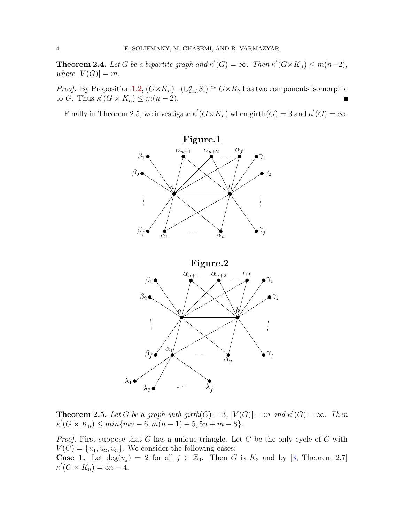**Theorem 2.4.** Let G be a bipartite graph and  $\kappa'(G) = \infty$ . Then  $\kappa'(G \times K_n) \leq m(n-2)$ , where  $|V(G)| = m$ .

*Proof.* By Proposition [1.2,](#page-1-1)  $(G \times K_n) - (\bigcup_{i=3}^n S_i) \cong G \times K_2$  has two components isomorphic to G. Thus  $\kappa'(G \times K_n) \leq m(n-2)$ .

Finally in Theorem 2.5, we investigate  $\kappa'(G \times K_n)$  when girth $(G) = 3$  and  $\kappa'(G) = \infty$ .



**Theorem 2.5.** Let G be a graph with girth(G) = 3,  $|V(G)| = m$  and  $\kappa'(G) = \infty$ . Then  $\kappa'(G \times K_n) \leq min\{mn - 6, m(n - 1) + 5, 5n + m - 8\}.$ 

*Proof.* First suppose that G has a unique triangle. Let C be the only cycle of G with  $V(C) = \{u_1, u_2, u_3\}.$  We consider the following cases: **Case 1.** Let  $deg(u_j) = 2$  for all  $j \in \mathbb{Z}_3$ . Then G is  $K_3$  and by [\[3,](#page-7-10) Theorem 2.7]  $\kappa'(G \times K_n) = 3n - 4.$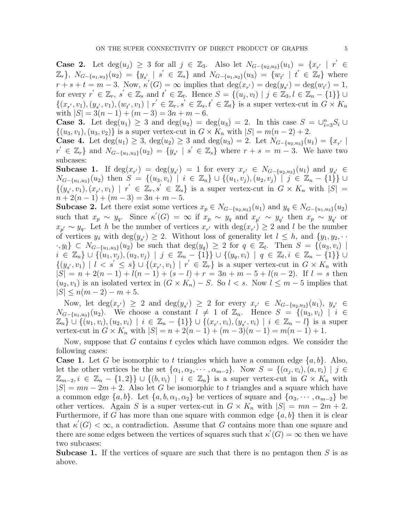Case 2. Let  $deg(u_j) \geq 3$  for all  $j \in \mathbb{Z}_3$ . Also let  $N_{G-\{u_2,u_3\}}(u_1) = \{x_{r'} | r' \in \mathbb{Z}_3\}$  $\mathbb{Z}_r$ ,  $N_{G-\{u_1,u_3\}}(u_2) = \{y_{s'} \mid s' \in \mathbb{Z}_s\}$  and  $N_{G-\{u_1,u_2\}}(u_3) = \{w_{t'} \mid t' \in \mathbb{Z}_t\}$  where  $r + s + t = m - 3$ . Now,  $\kappa'(G) = \infty$  implies that  $\deg(x_{r'}) = \deg(y_{s'}) = \deg(w_{t'}) = 1$ , for every  $r' \in \mathbb{Z}_r$ ,  $s' \in \mathbb{Z}_s$  and  $t' \in \mathbb{Z}_t$ . Hence  $S = \{(u_j, v_l) \mid j \in \mathbb{Z}_3, l \in \mathbb{Z}_n - \{1\}\}$  $\{(x_{r'}, v_1), (y_{s'}, v_1), (w_{t'}, v_1) \mid r' \in \mathbb{Z}_r, s' \in \mathbb{Z}_s, t' \in \mathbb{Z}_t\}$  is a super vertex-cut in  $G \times K_n$ with  $|S| = 3(n-1) + (m-3) = 3n + m - 6$ .

**Case 3.** Let  $deg(u_1) \geq 3$  and  $deg(u_2) = deg(u_3) = 2$ . In this case  $S = \bigcup_{i=3}^{n} S_i \cup$  $\{(u_3, v_1), (u_3, v_2)\}\$ is a super vertex-cut in  $G \times K_n$  with  $|S| = m(n-2) + 2$ .

Case 4. Let  $deg(u_1) \geq 3$ ,  $deg(u_2) \geq 3$  and  $deg(u_3) = 2$ . Let  $N_{G-\{u_2, u_3\}}(u_1) = \{x_{r'} \mid$  $r' \in \mathbb{Z}_r$ } and  $N_{G-\{u_1,u_3\}}(u_2) = \{y_{s'} | s' \in \mathbb{Z}_s\}$  where  $r + s = m - 3$ . We have two subcases:

Subcase 1. If  $deg(x_{r'}) = deg(y_{s'}) = 1$  for every  $x_{r'} \in N_{G-\{u_2, u_3\}}(u_1)$  and  $y_{s'} \in$  $N_{G-\{u_1,u_3\}}(u_2)$  then  $S = \{(u_3,v_i) | i \in \mathbb{Z}_n\}$  ∪  $\{(u_1,v_j),(u_2,v_j) | j \in \mathbb{Z}_n - \{1\}\}\cup$  $\{(y_{s'},v_1),(x_{r'},v_1) \mid r' \in \mathbb{Z}_r, s' \in \mathbb{Z}_s\}$  is a super vertex-cut in  $G \times K_n$  with  $|S| =$  $n+2(n-1)+(m-3)=3n+m-5.$ 

**Subcase 2.** Let there exist some vertices  $x_p \in N_{G-\{u_2,u_3\}}(u_1)$  and  $y_q \in N_{G-\{u_1,u_3\}}(u_2)$ such that  $x_p \sim y_q$ . Since  $\kappa'(G) = \infty$  if  $x_p \sim y_q$  and  $x_{p'} \sim y_{q'}$  then  $x_p \sim y_{q'}$  or  $x_{p'} \sim y_q$ . Let h be the number of vertices  $x_{r'}$  with  $\deg(x_{r'}) \geq 2$  and l be the number of vertices  $y_s$  with  $\deg(y_{s'}) \geq 2$ . Without loss of generality let  $l \leq h$ , and  $\{y_1, y_2, \cdots\}$  $\{y_i\} \subset N_{G-\{u_1,u_3\}}(u_2)$  be such that  $\deg(y_q) \geq 2$  for  $q \in \mathbb{Z}_l$ . Then  $S = \{(u_3,v_i) \mid i \in \mathbb{Z}_l\}$  $i \in \mathbb{Z}_n \} \cup \{(u_1, v_j), (u_2, v_j) \mid j \in \mathbb{Z}_n - \{1\}\} \cup \{(y_q, v_i) \mid q \in \mathbb{Z}_l, i \in \mathbb{Z}_n - \{1\}\}$  $\{(y_{s'},v_1) \mid l < s' \leq s\} \cup \{(x_{r'},v_1) \mid r' \in \mathbb{Z}_r\}$  is a super vertex-cut in  $G \times K_n$  with  $|S| = n + 2(n - 1) + l(n - 1) + (s - l) + r = 3n + m - 5 + l(n - 2)$ . If  $l = s$  then  $(u_2, v_1)$  is an isolated vertex in  $(G \times K_n) - S$ . So  $l < s$ . Now  $l \leq m-5$  implies that  $|S| \leq n(m-2)-m+5.$ 

Now, let  $deg(x_{r'}) \geq 2$  and  $deg(y_{s'}) \geq 2$  for every  $x_{r'} \in N_{G-\{u_2,u_3\}}(u_1), y_{s'} \in$  $N_{G-\{u_1,u_3\}}(u_2)$ . We choose a constant  $l \neq 1$  of  $\mathbb{Z}_n$ . Hence  $S = \{(u_3,v_i) \mid i \in$  $\mathbb{Z}_n$   $\cup$   $\{(u_1, v_i), (u_2, v_i) \mid i \in \mathbb{Z}_n - \{1\}\}$   $\cup$   $\{(x_{r'}, v_i), (y_{s'}, v_i) \mid i \in \mathbb{Z}_n - l\}$  is a super vertex-cut in  $G \times K_n$  with  $|S| = n + 2(n - 1) + (m - 3)(n - 1) = m(n - 1) + 1$ .

Now, suppose that  $G$  contains  $t$  cycles which have common edges. We consider the following cases:

**Case 1.** Let G be isomorphic to t triangles which have a common edge  $\{a, b\}$ . Also, let the other vertices be the set  $\{\alpha_1, \alpha_2, \cdots, \alpha_{m-2}\}$ . Now  $S = \{(\alpha_j, v_i), (a, v_i) \mid j \in$  $\mathbb{Z}_{m-2}, i \in \mathbb{Z}_n - \{1,2\}\}\cup\{(b,v_i) \mid i \in \mathbb{Z}_n\}$  is a super vertex-cut in  $G \times K_n$  with  $|S| = mn - 2m + 2$ . Also let G be isomorphic to t triangles and a square which have a common edge  $\{a, b\}$ . Let  $\{a, b, \alpha_1, \alpha_2\}$  be vertices of square and  $\{\alpha_3, \cdots, \alpha_{m-2}\}$  be other vertices. Again S is a super vertex-cut in  $G \times K_n$  with  $|S| = mn - 2m + 2$ . Furthermore, if G has more than one square with common edge  $\{a, b\}$  then it is clear that  $\kappa'(G) < \infty$ , a contradiction. Assume that G contains more than one square and there are some edges between the vertices of squares such that  $\kappa'(G) = \infty$  then we have two subcases:

**Subcase 1.** If the vertices of square are such that there is no pentagon then  $S$  is as above.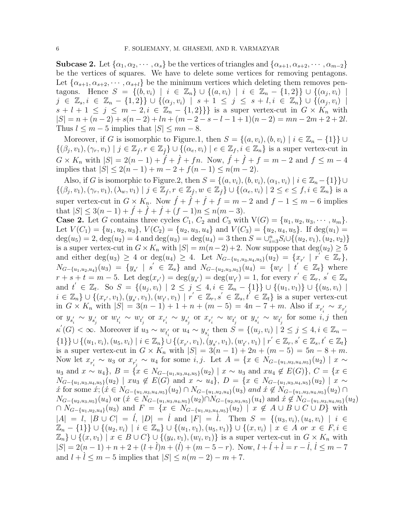**Subcase 2.** Let  $\{\alpha_1, \alpha_2, \cdots, \alpha_s\}$  be the vertices of triangles and  $\{\alpha_{s+1}, \alpha_{s+2}, \cdots, \alpha_{m-2}\}\$ be the vertices of squares. We have to delete some vertices for removing pentagons. Let  $\{\alpha_{s+1}, \alpha_{s+2}, \cdots, \alpha_{s+l}\}\$  be the minimum vertices which deleting them removes pentagons. Hence  $S = \{(b, v_i) \mid i \in \mathbb{Z}_n\} \cup \{(a, v_i) \mid i \in \mathbb{Z}_n - \{1, 2\}\} \cup \{(a_j, v_i) \mid i \in \mathbb{Z}_n\}$  $j \in \mathbb{Z}_s, i \in \mathbb{Z}_n - \{1,2\}\} \cup \{(\alpha_j, v_i) \mid s+1 \leq j \leq s+l, i \in \mathbb{Z}_n\} \cup \{(\alpha_j, v_i) \mid s+1 \leq j \leq s+l, j \in \mathbb{Z}_n\}$  $s + l + 1 \leq j \leq m - 2, i \in \mathbb{Z}_n - \{1, 2\}\}$  is a super vertex-cut in  $G \times K_n$  with  $|S| = n + (n-2) + s(n-2) + ln + (m-2-s-l-1+1)(n-2) = mn - 2m + 2 + 2l.$ Thus  $l \leq m-5$  implies that  $|S| \leq mn-8$ .

Moreover, if G is isomorphic to Figure.1, then  $S = \{(a, v_i), (b, v_i) \mid i \in \mathbb{Z}_n - \{1\}\}\cup$  $\{(\beta_j, v_1), (\gamma_r, v_1) \mid j \in \mathbb{Z}_f, r \in \mathbb{Z}_f\} \cup \{(\alpha_e, v_i) \mid e \in \mathbb{Z}_f, i \in \mathbb{Z}_n\}$  is a super vertex-cut in  $G \times K_n$  with  $|S| = 2(n-1) + \hat{f} + \hat{f} + fn$ . Now,  $\hat{f} + \hat{f} + f = m-2$  and  $f \leq m-4$ implies that  $|S| \leq 2(n-1) + m - 2 + f(n-1) \leq n(m-2)$ .

Also, if G is isomorphic to Figure.2, then  $S = \{(a, v_i), (b, v_i), (\alpha_1, v_i) \mid i \in \mathbb{Z}_n - \{1\}\} \cup$  $\{(\beta_j, v_1), (\gamma_r, v_1), (\lambda_w, v_1) \mid j \in \mathbb{Z}_f, r \in \mathbb{Z}_f, w \in \mathbb{Z}_f\} \cup \{(\alpha_e, v_i) \mid 2 \le e \le f, i \in \mathbb{Z}_n\}$  is a super vertex-cut in  $G \times K_n$ . Now  $\hat{f} + \hat{f} + \hat{f} + f = m - 2$  and  $f - 1 \leq m - 6$  implies that  $|S| \leq 3(n-1) + f + f + f + (f - 1)n \leq n(m - 3)$ .

**Case 2.** Let G contains three cycles  $C_1$ ,  $C_2$  and  $C_3$  with  $V(G) = \{u_1, u_2, u_3, \cdots, u_m\}$ . Let  $V(C_1) = \{u_1, u_2, u_3\}, V(C_2) = \{u_2, u_3, u_4\}$  and  $V(C_3) = \{u_2, u_4, u_5\}.$  If  $deg(u_1) =$  $deg(u_5) = 2, deg(u_2) = 4$  and  $deg(u_3) = deg(u_4) = 3$  then  $S = \bigcup_{i=3}^{n} S_i \cup \{(u_2, v_1), (u_2, v_2)\}$ is a super vertex-cut in  $G \times K_n$  with  $|S| = m(n-2) + 2$ . Now suppose that  $\deg(u_2) \geq 5$ and either  $\deg(u_3) \geq 4$  or  $\deg(u_4) \geq 4$ . Let  $N_{G-\{u_1, u_3, u_4, u_5\}}(u_2) = \{x_{r'} \mid r' \in \mathbb{Z}_r\},\$  $N_{G-\{u_1,u_2,u_4\}}(u_3) = \{y_{s'} \mid s' \in \mathbb{Z}_s\}$  and  $N_{G-\{u_2,u_3,u_5\}}(u_4) = \{w_{t'} \mid t' \in \mathbb{Z}_t\}$  where  $r + s + t = m - 5$ . Let  $deg(x_{r'}) = deg(y_{s'}) = deg(w_{t'}) = 1$ , for every  $r' \in \mathbb{Z}_r$ ,  $s' \in \mathbb{Z}_s$ and  $t' \in \mathbb{Z}_t$ . So  $S = \{(u_j, v_i) \mid 2 \leq j \leq 4, i \in \mathbb{Z}_n - \{1\}\} \cup \{(u_1, v_1)\} \cup \{(u_5, v_i) \mid 2 \leq j \leq 4, i \in \mathbb{Z}_n - \{1\}\}$  $i \in \mathbb{Z}_n$   $\cup$   $\{(x_{r'}, v_1), (y_{s'}, v_1), (w_{t'}, v_1) \mid r' \in \mathbb{Z}_r, s' \in \mathbb{Z}_s, t' \in \mathbb{Z}_t\}$  is a super vertex-cut in  $G \times K_n$  with  $|S| = 3(n-1) + 1 + n + (m-5) = 4n - 7 + m$ . Also if  $x_{r'_i} \sim x_{r'_j}$ or  $y_{s'_i} \sim y_{s'_j}$  or  $w_{t'_i} \sim w_{t'_j}$  or  $x_{r'_i} \sim y_{s'_j}$  or  $x_{r'_i} \sim w_{t'_j}$  or  $y_{s'_i} \sim w_{t'_j}$  for some  $i, j$  then  $\kappa'(G) < \infty$ . Moreover if  $u_3 \sim w_{t'_i}$  or  $u_4 \sim y_{s'_i}$  then  $S = \{(u_j, v_i) \mid 2 \leq j \leq 4, i \in \mathbb{Z}_n$  $\{1\}\} \cup \{(u_1, v_i), (u_5, v_i) \mid i \in \mathbb{Z}_n\} \cup \{(x_{r^{'}}, v_1), (y_{s^{'}}, v_1), (w_{t^{'}}, v_1) \mid r^{'} \in \mathbb{Z}_r, s^{'} \in \mathbb{Z}_s, t^{'} \in \mathbb{Z}_t\}$ is a super vertex-cut in  $G \times K_n$  with  $|S| = 3(n-1) + 2n + (m-5) = 5n - 8 + m$ . Now let  $x_{r'_i} \sim u_3$  or  $x_{r'_j} \sim u_4$  for some i, j. Let  $A = \{x \in N_{G-\{u_1, u_3, u_4, u_5\}}(u_2) \mid x \sim$ u<sub>3</sub> and  $x \sim u_4$ ,  $B = \{x \in N_{G-\{u_1, u_3, u_4, u_5\}}(u_2) \mid x \sim u_3 \text{ and } xu_4 \notin E(G) \}, C = \{x \in$  $N_{G-\{u_1,u_3,u_4,u_5\}}(u_2) \mid xu_3 \notin E(G)$  and  $x \sim u_4$ ,  $D = \{x \in N_{G-\{u_1,u_3,u_4,u_5\}}(u_2) \mid x \sim v_4\}$  $x'$  for some  $x'$ ; ( $x \in N_{G-\{u_1,u_3,u_4,u_5\}}(u_2) \cap N_{G-\{u_1,u_2,u_4\}}(u_3)$  and  $x' \notin N_{G-\{u_1,u_3,u_4,u_5\}}(u_2) \cap$  $N_{G-\{u_2,u_3,u_5\}}(u_4)$  or  $(x \in N_{G-\{u_1,u_3,u_4,u_5\}}(u_2) \cap N_{G-\{u_2,u_3,u_5\}}(u_4)$  and  $x \notin N_{G-\{u_1,u_3,u_4,u_5\}}(u_2)$ ∩  $N_{G-\{u_1,u_2,u_4\}}(u_3)$  and  $F = \{x \in N_{G-\{u_1,u_3,u_4,u_5\}}(u_2) \mid x \notin A \cup B \cup C \cup D\}$  with  $|A| = l, |B \cup C| = l, |D| = l$  and  $|F| = l$ . Then  $S = \{(u_3, v_i), (u_4, v_i) | i \in$  $\mathbb{Z}_n - \{1\}\} \cup \{(u_2, v_i) \mid i \in \mathbb{Z}_n\} \cup \{(u_1, v_1), (u_5, v_1)\} \cup \{(x, v_i) \mid x \in A \text{ or } x \in F, i \in \mathbb{Z}_n\}$  $\mathbb{Z}_n$   $\cup$   $\{(x, v_1) \mid x \in B \cup C\}$   $\cup$   $\{(y_s, v_1), (w_t, v_1)\}$  is a super vertex-cut in  $G \times K_n$  with  $|S| = 2(n-1) + n + 2 + (l + \hat{l})n + (\hat{l}) + (m - 5 - r)$ . Now,  $l + \hat{l} + \hat{l} = r - \hat{l}, \, \hat{l} \leq m - 7$ and  $l + \hat{l} \le m - 5$  implies that  $|S| \le n(m - 2) - m + 7$ .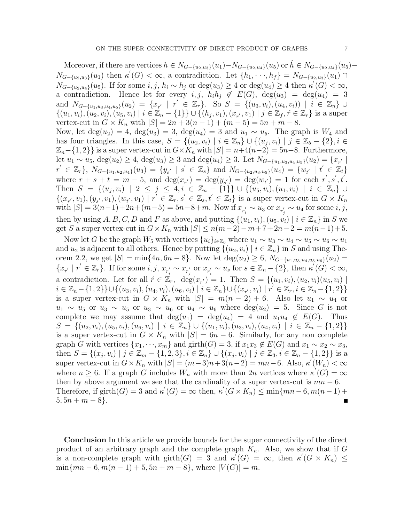Moreover, if there are vertices  $h \in N_{G-\{u_2, u_3\}}(u_1) - N_{G-\{u_2, u_4\}}(u_5)$  or  $h \in N_{G-\{u_2, u_4\}}(u_5) N_{G-\{u_2,u_3\}}(u_1)$  then  $\kappa'(G) < \infty$ , a contradiction. Let  $\{h_1,\dots,h_f\} = N_{G-\{u_2,u_3\}}(u_1) \cap$  $N_{G-\lbrace u_2, u_4 \rbrace}(u_5)$ . If for some  $i, j, h_i \sim h_j$  or  $\deg(u_3) \geq 4$  or  $\deg(u_4) \geq 4$  then  $\kappa'(G) < \infty$ , a contradiction. Hence let for every i, j,  $h_i h_j \notin E(G)$ ,  $deg(u_3) = deg(u_4) = 3$ and  $N_{G-\{u_1,u_3,u_4,u_5\}}(u_2) = \{x_{r'} \mid r' \in \mathbb{Z}_r\}$ . So  $S = \{(u_3,v_i),(u_4,v_i)\mid i \in \mathbb{Z}_n\}$  $\{(u_1, v_i), (u_2, v_i), (u_5, v_i) \mid i \in \mathbb{Z}_n - \{1\}\} \cup \{(h_j, v_1), (x_{r'}, v_1) \mid j \in \mathbb{Z}_f, r \in \mathbb{Z}_r\}$  is a super vertex-cut in  $G \times K_n$  with  $|S| = 2n + 3(n - 1) + (m - 5) = 5n + m - 8$ . Now, let deg( $u_2$ ) = 4, deg( $u_3$ ) = 3, deg( $u_4$ ) = 3 and  $u_1 \sim u_5$ . The graph is  $W_4$  and has four triangles. In this case,  $S = \{(u_2, v_i) \mid i \in \mathbb{Z}_n\} \cup \{(u_j, v_i) \mid j \in \mathbb{Z}_5 - \{2\}, i \in \mathbb{Z}_5\}$  $\mathbb{Z}_n-\{1,2\}$  is a super vertex-cut in  $G\times K_n$  with  $|S|=n+4(n-2)=5n-8$ . Furthermore, let  $u_1 \sim u_5$ ,  $\deg(u_2) \geq 4$ ,  $\deg(u_3) \geq 3$  and  $\deg(u_4) \geq 3$ . Let  $N_{G-\{u_1, u_3, u_4, u_5\}}(u_2) = \{x_{r'} \mid$  $r' \in \mathbb{Z}_r\}, N_{G-\{u_1, u_2, u_4\}}(u_3) = \{y_{s'} \mid s' \in \mathbb{Z}_s\} \text{ and } N_{G-\{u_2, u_3, u_5\}}(u_4) = \{w_{t'} \mid t' \in \mathbb{Z}_t\}$ where  $r + s + t = m - 5$ , and  $\deg(x_{r'}) = \deg(y_{s'}) = \deg(w_{t'}) = 1$  for each  $r', s', t'$ . Then  $S = \{(u_j, v_i) \mid 2 \leq j \leq 4, i \in \mathbb{Z}_n - \{1\}\} \cup \{(u_5, v_i), (u_1, v_i) \mid i \in \mathbb{Z}_n\} \cup$  $\{(x_{r'},v_1),(y_{s'},v_1),(w_{t'},v_1)\mid r'\in\mathbb{Z}_r,s'\in\mathbb{Z}_s,t'\in\mathbb{Z}_t\}$  is a super vertex-cut in  $G\times K_n$ with  $|S| = 3(n-1) + 2n + (m-5) = 5n-8+m$ . Now if  $x_{r_i'} \sim u_3$  or  $x_{r_j'} \sim u_4$  for some *i*, *j*, then by using A, B, C, D and F as above, and putting  $\{(u_1, v_i), (u_5, v_i) \mid i \in \mathbb{Z}_n\}$  in S we get S a super vertex-cut in  $G \times K_n$  with  $|S| \leq n(m-2)-m+7+2n-2=m(n-1)+5$ .

Now let G be the graph  $W_5$  with vertices  $\{u_i\}_{i\in\mathbb{Z}_6}$  where  $u_1 \sim u_3 \sim u_4 \sim u_5 \sim u_6 \sim u_1$ and  $u_2$  is adjacent to all others. Hence by putting  $\{(u_2, v_i) | i \in \mathbb{Z}_n\}$  in S and using Theorem 2.2, we get  $|S| = \min\{4n, 6n - 8\}$ . Now let  $\deg(u_2) \ge 6$ ,  $N_{G-\{u_1, u_3, u_4, u_5, u_6\}}(u_2) =$  $\{x_{r'} \mid r' \in \mathbb{Z}_r\}$ . If for some  $i, j, x_{r'_i} \sim x_{r'_j}$  or  $x_{r'_i} \sim u_s$  for  $s \in \mathbb{Z}_n - \{2\}$ , then  $\kappa'(G) < \infty$ , a contradiction. Let for all  $\acute{r} \in \mathbb{Z}_r$ ,  $\deg(x_{r'}) = 1$ . Then  $S = \{(u_1, v_i), (u_2, v_i)(u_5, v_i) \mid$  $i \in \mathbb{Z}_n - \{1,2\}\} \cup \{(u_3, v_i), (u_4, v_i), (u_6, v_i) \mid i \in \mathbb{Z}_n\} \cup \{(x_{r'}, v_i) \mid r' \in \mathbb{Z}_r, i \in \mathbb{Z}_n - \{1,2\}\}\$ is a super vertex-cut in  $G \times K_n$  with  $|S| = m(n-2) + 6$ . Also let  $u_1 \sim u_4$  or  $u_1 \sim u_5$  or  $u_3 \sim u_5$  or  $u_3 \sim u_6$  or  $u_4 \sim u_6$  where  $deg(u_2) = 5$ . Since G is not complete we may assume that  $deg(u_1) = deg(u_4) = 4$  and  $u_1u_4 \notin E(G)$ . Thus  $S = \{(u_2, v_i), (u_5, v_i), (u_6, v_i) \mid i \in \mathbb{Z}_n\} \cup \{(u_1, v_i), (u_3, v_i), (u_4, v_i) \mid i \in \mathbb{Z}_n - \{1, 2\}\}\$ is a super vertex-cut in  $G \times K_n$  with  $|S| = 6n - 6$ . Similarly, for any non complete graph G with vertices  $\{x_1, \dots, x_m\}$  and girth $(G) = 3$ , if  $x_1x_3 \notin E(G)$  and  $x_1 \sim x_2 \sim x_3$ , then  $S = \{(x_j, v_i) \mid j \in \mathbb{Z}_m - \{1, 2, 3\}, i \in \mathbb{Z}_n\} \cup \{(x_j, v_i) \mid j \in \mathbb{Z}_3, i \in \mathbb{Z}_n - \{1, 2\}\}\$ is a super vertex-cut in  $G \times K_n$  with  $|S| = (m-3)n + 3(n-2) = mn-6$ . Also,  $\kappa'(W_n) < \infty$ where  $n \geq 6$ . If a graph G includes  $W_n$  with more than  $2n$  vertices where  $\kappa'(G) = \infty$ then by above argument we see that the cardinality of a super vertex-cut is  $mn - 6$ . Therefore, if  $girth(G) = 3$  and  $\kappa'(G) = \infty$  then,  $\kappa'(G \times K_n) \le \min\{mn - 6, m(n-1) + 6\}$  $5, 5n + m - 8$ .  $\blacksquare$ 

Conclusion In this article we provide bounds for the super connectivity of the direct product of an arbitrary graph and the complete graph  $K_n$ . Also, we show that if G is a non-complete graph with girth $(G) = 3$  and  $\kappa'(G) = \infty$ , then  $\kappa'(G \times K_n) \leq$  $\min\{mn-6, m(n-1)+5, 5n+m-8\},\$  where  $|V(G)|=m$ .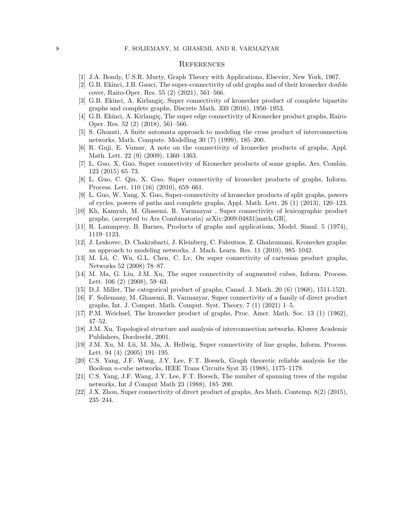## **REFERENCES**

- <span id="page-7-0"></span>[1] J.A. Bondy, U.S.R. Murty, Graph Theory with Applications, Elsevier, New York, 1967.
- <span id="page-7-11"></span>[2] G.B. Ekinci, J.B. Gauci, The super-connectivity of odd graphs and of their kronecker double cover, Rairo-Oper. Res. 55 (2) (2021), 561–566.
- <span id="page-7-10"></span>[3] G.B. Ekinci, A. Kirlangiç, Super connectivity of kronecker product of complete bipartite graphs and complete graphs, Discrete Math. 339 (2016), 1950–1953.
- <span id="page-7-12"></span>[4] G.B. Ekinci, A. Kirlangiç, The super edge connectivity of Kronecker product graphs, Rairo-Oper. Res. 52 (2) (2018), 561–566.
- <span id="page-7-7"></span>[5] S. Ghozati, A finite automata approach to modeling the cross product of interconnection networks, Math. Compute. Modelling 30 (7) (1999), 185–200.
- <span id="page-7-9"></span>[6] R. Guji, E. Vumar, A note on the connectivity of kronecker products of graphs, Appl. Math. Lett. 22 (9) (2009), 1360–1363.
- <span id="page-7-13"></span>[7] L. Guo, X. Guo. Super connectivity of Kronecker products of some graphs, Ars. Combin. 123 (2015) 65–73.
- <span id="page-7-14"></span>[8] L. Guo, C. Qin, X. Guo, Super connectivity of kronecker products of graphs, Inform. Process. Lett. 110 (16) (2010), 659–661.
- <span id="page-7-15"></span>[9] L. Guo, W. Yang, X. Guo, Super-connectivity of kronecker products of split graphs, powers of cycles, powers of paths and complete graphs, Appl. Math. Lett. 26 (1) (2013), 120–123.
- <span id="page-7-16"></span>[10] Kh, Kamyab, M. Ghasemi, R. Varmazyar , Super connectivity of lexicographic product graphs, (accepted to Ars Combinatoria) arXiv:2009.04831[math.GR].
- <span id="page-7-6"></span>[11] R. Lammprey, B. Barnes, Products of graphs and applications, Model. Simul. 5 (1974), 1119–1123.
- <span id="page-7-5"></span>[12] J. Leskovec, D. Chakrabarti, J. Kleinberg, C. Faloutsos, Z. Ghahramani, Kronecker graphs: an approach to modeling networks, J. Mach. Learn. Res. 11 (2010), 985–1042.
- <span id="page-7-17"></span>[13] M. Lü, C. Wu, G.L. Chen, C. Lv, On super connectivity of cartesian product graphs, Networks 52 (2008) 78–87.
- <span id="page-7-18"></span>[14] M. Ma, G. Liu, J.M. Xu, The super connectivity of augmented cubes, Inform. Process. Lett. 106 (2) (2008), 59–63.
- <span id="page-7-8"></span>[15] D.J. Miller, The categorical product of graphs, Canad. J. Math. 20 (6) (1968), 1511-1521.
- <span id="page-7-19"></span>[16] F. Soliemany, M. Ghasemi, R. Varmazyar, Super connectivity of a family of direct product graphs, Int. J. Comput. Math. Comput. Syst. Theory.  $7(1)(2021)$  1–5.
- <span id="page-7-3"></span>[17] P.M. Weichsel, The kronecker product of graphs, Proc. Amer. Math. Soc. 13 (1) (1962), 47–52.
- <span id="page-7-4"></span>[18] J.M. Xu, Topological structure and analysis of interconnection networks, Kluwer Academic Publishers, Dordrecht, 2001.
- <span id="page-7-20"></span>[19] J.M. Xu, M. Lü, M. Ma, A. Hellwig, Super connectivity of line graphs, Inform. Process. Lett. 94 (4) (2005) 191–195.
- <span id="page-7-1"></span>[20] C.S. Yang, J.F. Wang, J.Y. Lee, F.T. Boesch, Graph theoretic reliable analysis for the Boolean n-cube networks, IEEE Trans Circuits Syst 35 (1988), 1175–1179.
- <span id="page-7-2"></span>[21] C.S. Yang, J.F. Wang, J.Y. Lee, F.T. Boesch, The number of spanning trees of the regular networks, Int J Comput Math 23 (1988), 185–200.
- <span id="page-7-21"></span>[22] J.X. Zhou, Super connectivity of direct product of graphs, Ars Math. Contemp. 8(2) (2015), 235–244.